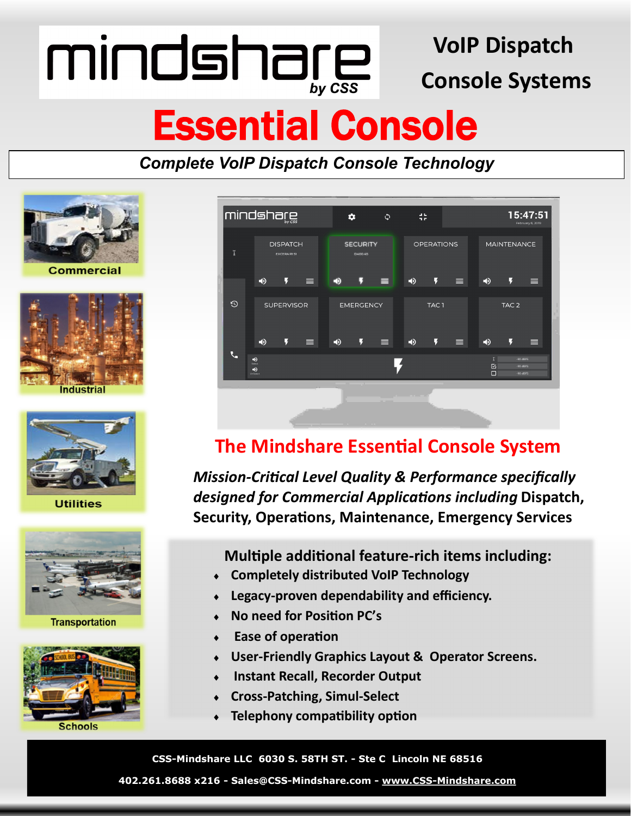mindshare

### **VoIP Dispatch Console Systems**

### Essential Console

*Complete VoIP Dispatch Console Technology*







**Utilities** 







**Schools** 



### **The Mindshare Essential Console System**

*Mission-Critical Level Quality & Performance specifically designed for Commercial Applications including* **Dispatch, Security, Operations, Maintenance, Emergency Services**

**Multiple additional feature-rich items including:**

- **Completely distributed VoIP Technology**
- **Legacy-proven dependability and efficiency.**
- **No need for Position PC's**
- **Ease of operation**
- **User-Friendly Graphics Layout & Operator Screens.**
- **Instant Recall, Recorder Output**
- **Cross-Patching, Simul-Select**
- **Telephony compatibility option**

**CSS-Mindshare LLC 6030 S. 58TH ST. - Ste C Lincoln NE 68516** 

**402.261.8688 x216 - Sales@CSS-Mindshare.com - www.CSS-[Mindshare.com](http://www.idsmindshare.com)**